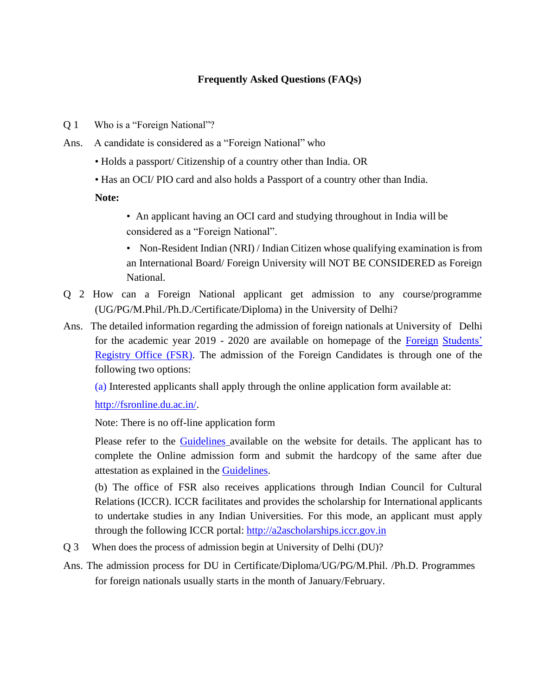## **Frequently Asked Questions (FAQs)**

- Q 1 Who is a "Foreign National"?
- Ans. A candidate is considered as a "Foreign National" who
	- Holds a passport/ Citizenship of a country other than India. OR
	- Has an OCI/ PIO card and also holds a Passport of a country other than India.

**Note:**

- An applicant having an OCI card and studying throughout in India will be considered as a "Foreign National".
- Non-Resident Indian (NRI) / Indian Citizen whose qualifying examination is from an International Board/ Foreign University will NOT BE CONSIDERED as Foreign National.
- Q 2 How can a Foreign National applicant get admission to any course/programme (UG/PG/M.Phil./Ph.D./Certificate/Diploma) in the University of Delhi?
- Ans. The detailed information regarding the admission of foreign nationals at University of Delhi for the academic year 2019 - 2020 are available on homepage of the [Foreign](http://fsr.du.ac.in/) [Students'](http://fsr.du.ac.in/)  [Registry Office \(FSR\).](http://fsr.du.ac.in/) The admission of the Foreign Candidates is through one of the following two options:

(a) Interested applicants shall apply through the online application form available at:

[http://fsronline.du.ac.in/.](http://fsronline.du.ac.in/)

Note: There is no off-line application form

Please refer to the [Guidelines](http://fsr.du.ac.in/pdf/22-02-2019-Guidelines_FSR.pdf) available on the website for details. The applicant has to complete the Online admission form and submit the hardcopy of the same after due attestation as explained in the [Guidelines.](http://fsr.du.ac.in/pdf/22-02-2019-Guidelines_FSR.pdf)

(b) The office of FSR also receives applications through Indian Council for Cultural Relations (ICCR). ICCR facilitates and provides the scholarship for International applicants to undertake studies in any Indian Universities. For this mode, an applicant must apply through the following ICCR portal: [http://a2ascholarships.iccr.gov.in](http://a2ascholarships.iccr.gov.in/)

- Q 3 When does the process of admission begin at University of Delhi (DU)?
- Ans. The admission process for DU in Certificate/Diploma/UG/PG/M.Phil. /Ph.D. Programmes for foreign nationals usually starts in the month of January/February.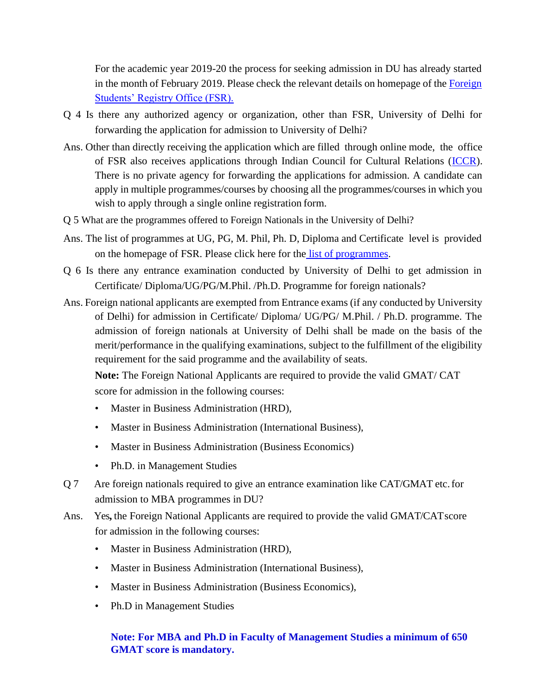For the academic year 2019-20 the process for seeking admission in DU has already started in the month of February 2019. Please check the relevant details on homepage of the [Foreign](http://fsr.du.ac.in/)  [Students' Registry Office \(FSR\).](http://fsr.du.ac.in/)

- Q 4 Is there any authorized agency or organization, other than FSR, University of Delhi for forwarding the application for admission to University of Delhi?
- Ans. Other than directly receiving the application which are filled through online mode, the office of FSR also receives applications through Indian Council for Cultural Relations [\(ICCR\)](http://www.iccr.gov.in/). There is no private agency for forwarding the applications for admission. A candidate can apply in multiple programmes/courses by choosing all the programmes/courses in which you wish to apply through a single online registration form.
- Q 5 What are the programmes offered to Foreign Nationals in the University of Delhi?
- Ans. The list of programmes at UG, PG, M. Phil, Ph. D, Diploma and Certificate level is provided on the homepage of FSR. Please click here for the list of [programmes.](http://fsr.du.ac.in/programme.html)
- Q 6 Is there any entrance examination conducted by University of Delhi to get admission in Certificate/ Diploma/UG/PG/M.Phil. /Ph.D. Programme for foreign nationals?
- Ans. Foreign national applicants are exempted from Entrance exams (if any conducted by University of Delhi) for admission in Certificate/ Diploma/ UG/PG/ M.Phil. / Ph.D. programme. The admission of foreign nationals at University of Delhi shall be made on the basis of the merit/performance in the qualifying examinations, subject to the fulfillment of the eligibility requirement for the said programme and the availability of seats.

**Note:** The Foreign National Applicants are required to provide the valid GMAT/ CAT score for admission in the following courses:

- Master in Business Administration (HRD),
- Master in Business Administration (International Business),
- Master in Business Administration (Business Economics)
- Ph.D. in Management Studies
- Q 7 Are foreign nationals required to give an entrance examination like CAT/GMAT etc.for admission to MBA programmes in DU?
- Ans. Yes, the Foreign National Applicants are required to provide the valid GMAT/CAT score for admission in the following courses:
	- Master in Business Administration (HRD),
	- Master in Business Administration (International Business),
	- Master in Business Administration (Business Economics),
	- Ph.D in Management Studies

## **Note: For MBA and Ph.D in Faculty of Management Studies a minimum of 650 GMAT score is mandatory.**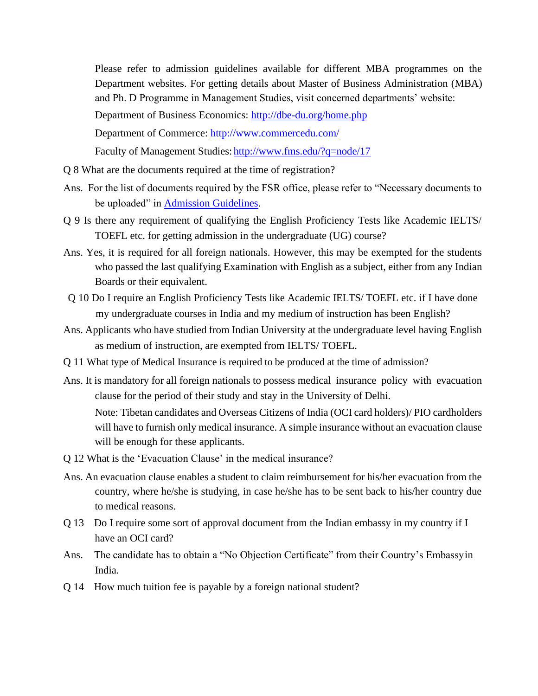Please refer to admission guidelines available for different MBA programmes on the Department websites. For getting details about Master of Business Administration (MBA) and Ph. D Programme in Management Studies, visit concerned departments' website:

Department of Business Economics:<http://dbe-du.org/home.php>

Department of Commerce:<http://www.commercedu.com/>

Faculty of Management Studies: http://www.fms.edu/?q=node/17

- Q 8 What are the documents required at the time of registration?
- Ans. For the list of documents required by the FSR office, please refer to "Necessary documents to be uploaded" in [Admission Guidelines.](http://fsr.du.ac.in/pdf/22-02-2019-Guidelines_FSR.pdf)
- Q 9 Is there any requirement of qualifying the English Proficiency Tests like Academic IELTS/ TOEFL etc. for getting admission in the undergraduate (UG) course?
- Ans. Yes, it is required for all foreign nationals. However, this may be exempted for the students who passed the last qualifying Examination with English as a subject, either from any Indian Boards or their equivalent.
- Q 10 Do I require an English Proficiency Tests like Academic IELTS/ TOEFL etc. if I have done my undergraduate courses in India and my medium of instruction has been English?
- Ans. Applicants who have studied from Indian University at the undergraduate level having English as medium of instruction, are exempted from IELTS/ TOEFL.
- Q 11 What type of Medical Insurance is required to be produced at the time of admission?
- Ans. It is mandatory for all foreign nationals to possess medical insurance policy with evacuation clause for the period of their study and stay in the University of Delhi.

Note: Tibetan candidates and Overseas Citizens of India (OCI card holders)/ PIO cardholders will have to furnish only medical insurance. A simple insurance without an evacuation clause will be enough for these applicants.

- Q 12 What is the 'Evacuation Clause' in the medical insurance?
- Ans. An evacuation clause enables a student to claim reimbursement for his/her evacuation from the country, where he/she is studying, in case he/she has to be sent back to his/her country due to medical reasons.
- Q 13 Do I require some sort of approval document from the Indian embassy in my country if I have an OCI card?
- Ans. The candidate has to obtain a "No Objection Certificate" from their Country's Embassyin India.
- Q 14 How much tuition fee is payable by a foreign national student?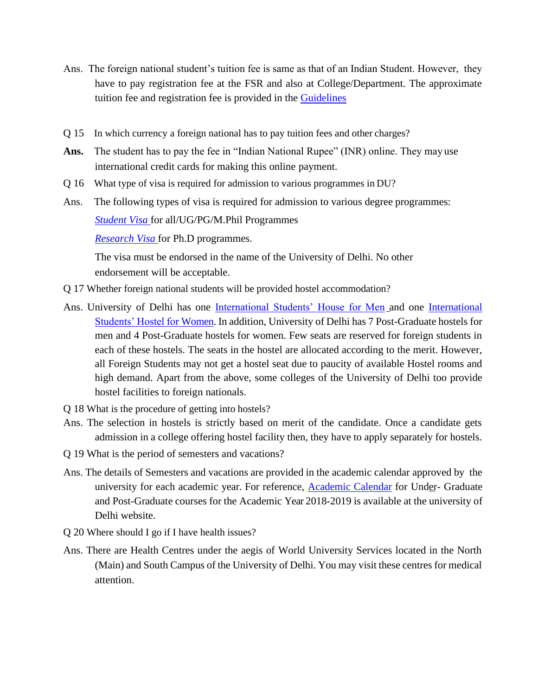- Ans. The foreign national student's tuition fee is same as that of an Indian Student. However, they have to pay registration fee at the FSR and also at College/Department. The approximate tuition fee and registration fee is provided in the [Guidelines](http://fsr.du.ac.in/pdf/22-02-2019-Guidelines_FSR.pdf)
- Q 15 In which currency a foreign national has to pay tuition fees and other charges?
- **Ans.** The student has to pay the fee in "Indian National Rupee" (INR) online. They may use international credit cards for making this online payment.
- Q 16 What type of visa is required for admission to various programmes in DU?
- Ans. The following types of visa is required for admission to various degree programmes: *[Student Visa](https://boi.gov.in/content/student-visa-s)* for all/UG/PG/M.Phil Programmes

*[Research Visa](http://mha1.nic.in/pdfs/OverviewReserchVisa2014.pdf)* for Ph.D programmes.

The visa must be endorsed in the name of the University of Delhi. No other endorsement will be acceptable.

- Q 17 Whether foreign national students will be provided hostel accommodation?
- Ans. University of Delhi has one [International Students' House for Men](http://ish.du.ac.in/) and one [International](http://www.du.ac.in/du/index.php?page=university-hostel-for-women) [Students' Hostel for Women.](http://www.du.ac.in/du/index.php?page=university-hostel-for-women) In addition, University of Delhi has 7 Post-Graduate hostels for men and 4 Post-Graduate hostels for women. Few seats are reserved for foreign students in each of these hostels. The seats in the hostel are allocated according to the merit. However, all Foreign Students may not get a hostel seat due to paucity of available Hostel rooms and high demand. Apart from the above, some colleges of the University of Delhi too provide hostel facilities to foreign nationals.
- Q 18 What is the procedure of getting into hostels?
- Ans. The selection in hostels is strictly based on merit of the candidate. Once a candidate gets admission in a college offering hostel facility then, they have to apply separately for hostels.
- Q 19 What is the period of semesters and vacations?
- Ans. The details of Semesters and vacations are provided in the academic calendar approved by the university for each academic year. For reference, **Academic Calendar** for Under- Graduate and Post-Graduate courses for the Academic Year 2018-2019 is available at the university of Delhi website.
- Q 20 Where should I go if I have health issues?
- Ans. There are Health Centres under the aegis of World University Services located in the North (Main) and South Campus of the University of Delhi. You may visit these centres for medical attention.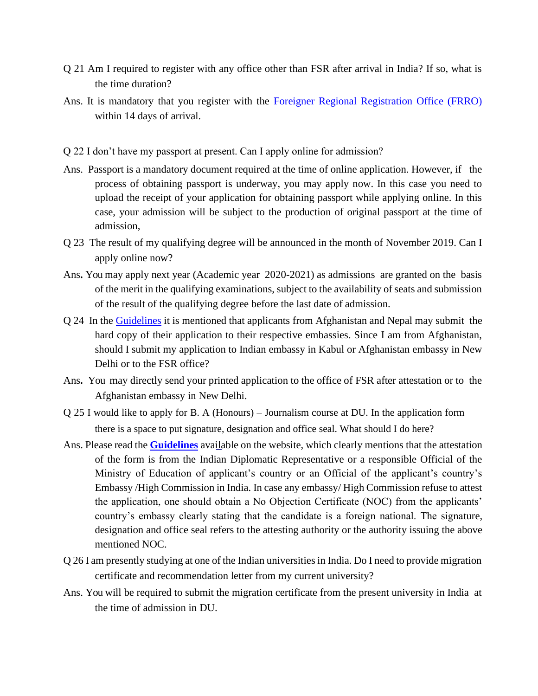- Q 21 Am I required to register with any office other than FSR after arrival in India? If so, what is the time duration?
- Ans. It is mandatory that you register with the [Foreigner Regional Registration Office \(FRRO\)](https://indianfrro.gov.in/frro/) within 14 days of arrival.
- Q 22 I don't have my passport at present. Can I apply online for admission?
- Ans. Passport is a mandatory document required at the time of online application. However, if the process of obtaining passport is underway, you may apply now. In this case you need to upload the receipt of your application for obtaining passport while applying online. In this case, your admission will be subject to the production of original passport at the time of admission,
- Q 23 The result of my qualifying degree will be announced in the month of November 2019. Can I apply online now?
- Ans**.** You may apply next year (Academic year 2020-2021) as admissions are granted on the basis of the merit in the qualifying examinations, subject to the availability of seats and submission of the result of the qualifying degree before the last date of admission.
- Q 24 In the [Guidelines](http://fsr.du.ac.in/pdf/22-02-2019-Guidelines_FSR.pdf) it is mentioned that applicants from Afghanistan and Nepal may submit the hard copy of their application to their respective embassies. Since I am from Afghanistan, should I submit my application to Indian embassy in Kabul or Afghanistan embassy in New Delhi or to the FSR office?
- Ans**.** You may directly send your printed application to the office of FSR after attestation or to the Afghanistan embassy in New Delhi.
- Q 25 I would like to apply for B. A (Honours) Journalism course at DU. In the application form there is a space to put signature, designation and office seal. What should I do here?
- Ans. Please read the **[Guidelines](http://fsr.du.ac.in/pdf/22-02-2019-Guidelines_FSR.pdf)** available on the website, which clearly mentions that the attestation of the form is from the Indian Diplomatic Representative or a responsible Official of the Ministry of Education of applicant's country or an Official of the applicant's country's Embassy /High Commission in India. In case any embassy/ High Commission refuse to attest the application, one should obtain a No Objection Certificate (NOC) from the applicants' country's embassy clearly stating that the candidate is a foreign national. The signature, designation and office seal refers to the attesting authority or the authority issuing the above mentioned NOC.
- Q 26 I am presently studying at one of the Indian universities in India. Do I need to provide migration certificate and recommendation letter from my current university?
- Ans. You will be required to submit the migration certificate from the present university in India at the time of admission in DU.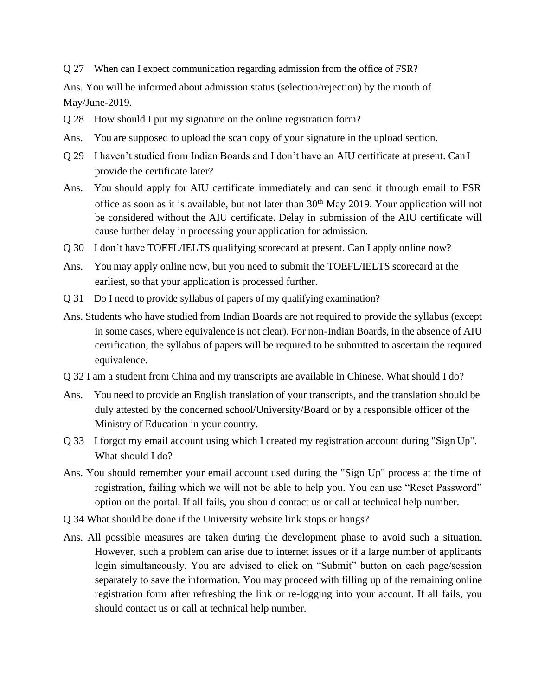Q 27 When can I expect communication regarding admission from the office of FSR?

Ans. You will be informed about admission status (selection/rejection) by the month of May/June-2019.

- Q 28 How should I put my signature on the online registration form?
- Ans. You are supposed to upload the scan copy of your signature in the upload section.
- Q 29 I haven't studied from Indian Boards and I don't have an AIU certificate at present. Can I provide the certificate later?
- Ans. You should apply for AIU certificate immediately and can send it through email to FSR office as soon as it is available, but not later than  $30<sup>th</sup>$  May 2019. Your application will not be considered without the AIU certificate. Delay in submission of the AIU certificate will cause further delay in processing your application for admission.
- Q 30 I don't have TOEFL/IELTS qualifying scorecard at present. Can I apply online now?
- Ans. You may apply online now, but you need to submit the TOEFL/IELTS scorecard at the earliest, so that your application is processed further.
- Q 31 Do I need to provide syllabus of papers of my qualifying examination?
- Ans. Students who have studied from Indian Boards are not required to provide the syllabus (except in some cases, where equivalence is not clear). For non-Indian Boards, in the absence of AIU certification, the syllabus of papers will be required to be submitted to ascertain the required equivalence.
- Q 32 I am a student from China and my transcripts are available in Chinese. What should I do?
- Ans. You need to provide an English translation of your transcripts, and the translation should be duly attested by the concerned school/University/Board or by a responsible officer of the Ministry of Education in your country.
- Q 33 I forgot my email account using which I created my registration account during "Sign Up". What should I do?
- Ans. You should remember your email account used during the "Sign Up" process at the time of registration, failing which we will not be able to help you. You can use "Reset Password" option on the portal. If all fails, you should contact us or call at technical help number.
- Q 34 What should be done if the University website link stops or hangs?
- Ans. All possible measures are taken during the development phase to avoid such a situation. However, such a problem can arise due to internet issues or if a large number of applicants login simultaneously. You are advised to click on "Submit" button on each page/session separately to save the information. You may proceed with filling up of the remaining online registration form after refreshing the link or re-logging into your account. If all fails, you should contact us or call at technical help number.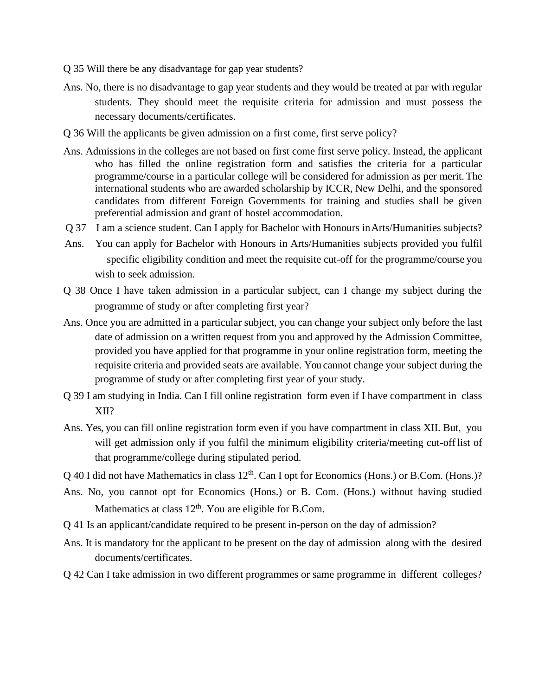Q 35 Will there be any disadvantage for gap year students?

- Ans. No, there is no disadvantage to gap year students and they would be treated at par with regular students. They should meet the requisite criteria for admission and must possess the necessary documents/certificates.
- Q 36 Will the applicants be given admission on a first come, first serve policy?
- Ans. Admissions in the colleges are not based on first come first serve policy. Instead, the applicant who has filled the online registration form and satisfies the criteria for a particular programme/course in a particular college will be considered for admission as per merit. The international students who are awarded scholarship by ICCR, New Delhi, and the sponsored candidates from different Foreign Governments for training and studies shall be given preferential admission and grant of hostel accommodation.
- Q 37 I am a science student. Can I apply for Bachelor with Honours inArts/Humanities subjects?
- Ans. You can apply for Bachelor with Honours in Arts/Humanities subjects provided you fulfil specific eligibility condition and meet the requisite cut-off for the programme/course you wish to seek admission.
- Q 38 Once I have taken admission in a particular subject, can I change my subject during the programme of study or after completing first year?
- Ans. Once you are admitted in a particular subject, you can change your subject only before the last date of admission on a written request from you and approved by the Admission Committee, provided you have applied for that programme in your online registration form, meeting the requisite criteria and provided seats are available. You cannot change your subject during the programme of study or after completing first year of your study.
- Q 39 I am studying in India. Can I fill online registration form even if I have compartment in class XII?
- Ans. Yes, you can fill online registration form even if you have compartment in class XII. But, you will get admission only if you fulfil the minimum eligibility criteria/meeting cut-offlist of that programme/college during stipulated period.
- $Q$  40 I did not have Mathematics in class  $12<sup>th</sup>$ . Can I opt for Economics (Hons.) or B.Com. (Hons.)?
- Ans. No, you cannot opt for Economics (Hons.) or B. Com. (Hons.) without having studied Mathematics at class  $12<sup>th</sup>$ . You are eligible for B.Com.
- Q 41 Is an applicant/candidate required to be present in-person on the day of admission?
- Ans. It is mandatory for the applicant to be present on the day of admission along with the desired documents/certificates.
- Q 42 Can I take admission in two different programmes or same programme in different colleges?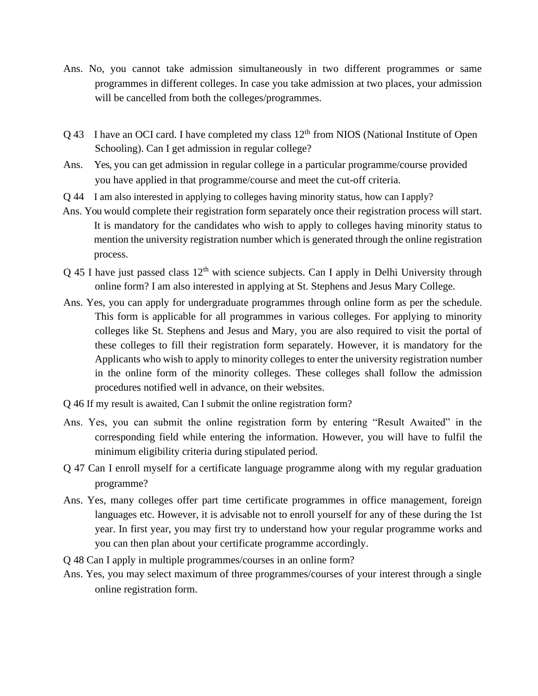- Ans. No, you cannot take admission simultaneously in two different programmes or same programmes in different colleges. In case you take admission at two places, your admission will be cancelled from both the colleges/programmes.
- $Q$  43 I have an OCI card. I have completed my class  $12<sup>th</sup>$  from NIOS (National Institute of Open Schooling). Can I get admission in regular college?
- Ans. Yes, you can get admission in regular college in a particular programme/course provided you have applied in that programme/course and meet the cut-off criteria.
- Q 44 I am also interested in applying to colleges having minority status, how can I apply?
- Ans. You would complete their registration form separately once their registration process will start. It is mandatory for the candidates who wish to apply to colleges having minority status to mention the university registration number which is generated through the online registration process.
- $Q$  45 I have just passed class  $12<sup>th</sup>$  with science subjects. Can I apply in Delhi University through online form? I am also interested in applying at St. Stephens and Jesus Mary College.
- Ans. Yes, you can apply for undergraduate programmes through online form as per the schedule. This form is applicable for all programmes in various colleges. For applying to minority colleges like St. Stephens and Jesus and Mary, you are also required to visit the portal of these colleges to fill their registration form separately. However, it is mandatory for the Applicants who wish to apply to minority colleges to enter the university registration number in the online form of the minority colleges. These colleges shall follow the admission procedures notified well in advance, on their websites.
- Q 46 If my result is awaited, Can I submit the online registration form?
- Ans. Yes, you can submit the online registration form by entering "Result Awaited" in the corresponding field while entering the information. However, you will have to fulfil the minimum eligibility criteria during stipulated period.
- Q 47 Can I enroll myself for a certificate language programme along with my regular graduation programme?
- Ans. Yes, many colleges offer part time certificate programmes in office management, foreign languages etc. However, it is advisable not to enroll yourself for any of these during the 1st year. In first year, you may first try to understand how your regular programme works and you can then plan about your certificate programme accordingly.
- Q 48 Can I apply in multiple programmes/courses in an online form?
- Ans. Yes, you may select maximum of three programmes/courses of your interest through a single online registration form.